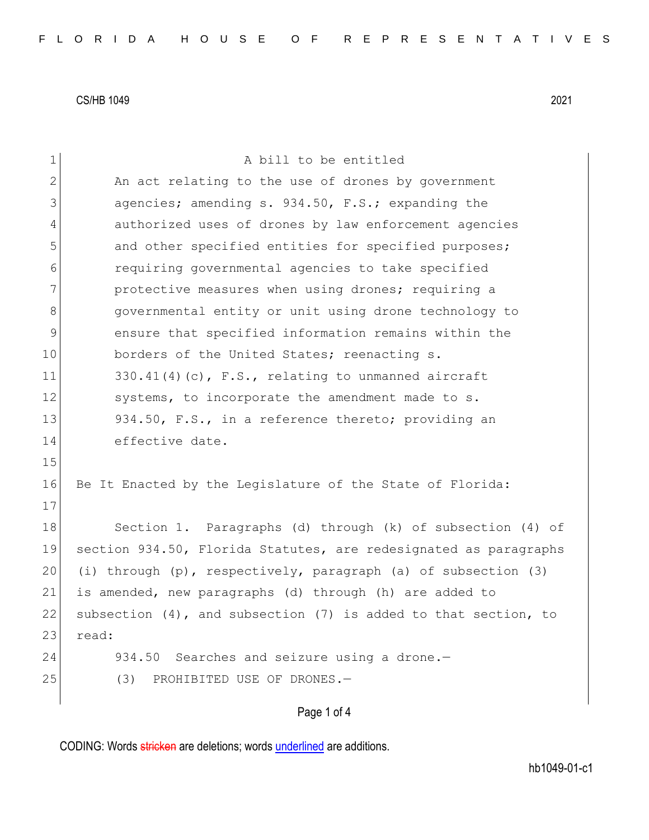| $\mathbf 1$    | A bill to be entitled                                            |
|----------------|------------------------------------------------------------------|
| $\overline{2}$ | An act relating to the use of drones by government               |
| 3              | agencies; amending s. 934.50, F.S.; expanding the                |
| 4              | authorized uses of drones by law enforcement agencies            |
| 5              | and other specified entities for specified purposes;             |
| 6              | requiring governmental agencies to take specified                |
| 7              | protective measures when using drones; requiring a               |
| 8              | governmental entity or unit using drone technology to            |
| $\mathsf 9$    | ensure that specified information remains within the             |
| 10             | borders of the United States; reenacting s.                      |
| 11             | $330.41(4)$ (c), F.S., relating to unmanned aircraft             |
| 12             | systems, to incorporate the amendment made to s.                 |
| 13             | 934.50, F.S., in a reference thereto; providing an               |
| 14             | effective date.                                                  |
| 15             |                                                                  |
| 16             | Be It Enacted by the Legislature of the State of Florida:        |
| 17             |                                                                  |
| 18             | Section 1. Paragraphs (d) through (k) of subsection (4) of       |
| 19             | section 934.50, Florida Statutes, are redesignated as paragraphs |
| 20             | (i) through (p), respectively, paragraph (a) of subsection (3)   |
| 21             | is amended, new paragraphs (d) through (h) are added to          |
| 22             | subsection (4), and subsection (7) is added to that section, to  |
| 23             | read:                                                            |
| 24             | 934.50 Searches and seizure using a drone.-                      |
| 25             | (3)<br>PROHIBITED USE OF DRONES.-                                |
|                | Page 1 of 4                                                      |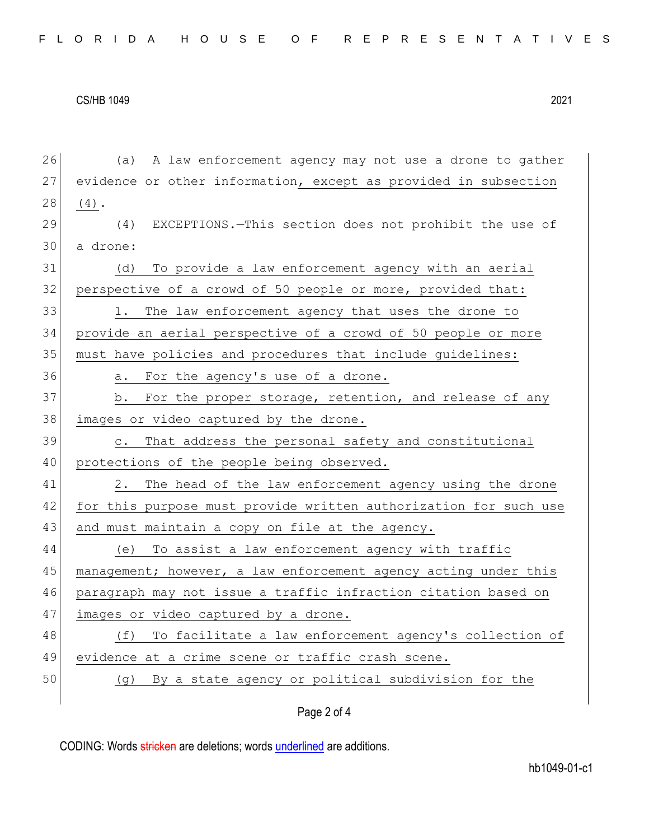Page 2 of 4 26 (a) A law enforcement agency may not use a drone to gather 27 evidence or other information, except as provided in subsection  $28 | (4).$ 29 (4) EXCEPTIONS.—This section does not prohibit the use of 30 a drone: 31 (d) To provide a law enforcement agency with an aerial 32 perspective of a crowd of 50 people or more, provided that: 33 1. The law enforcement agency that uses the drone to 34 provide an aerial perspective of a crowd of 50 people or more 35 must have policies and procedures that include guidelines: 36 a. For the agency's use of a drone. 37 b. For the proper storage, retention, and release of any 38 images or video captured by the drone. 39 c. That address the personal safety and constitutional 40 protections of the people being observed. 41 2. The head of the law enforcement agency using the drone 42 for this purpose must provide written authorization for such use 43 and must maintain a copy on file at the agency. 44 (e) To assist a law enforcement agency with traffic 45 management; however, a law enforcement agency acting under this 46 paragraph may not issue a traffic infraction citation based on 47 images or video captured by a drone. 48 (f) To facilitate a law enforcement agency's collection of 49 evidence at a crime scene or traffic crash scene. 50 (g) By a state agency or political subdivision for the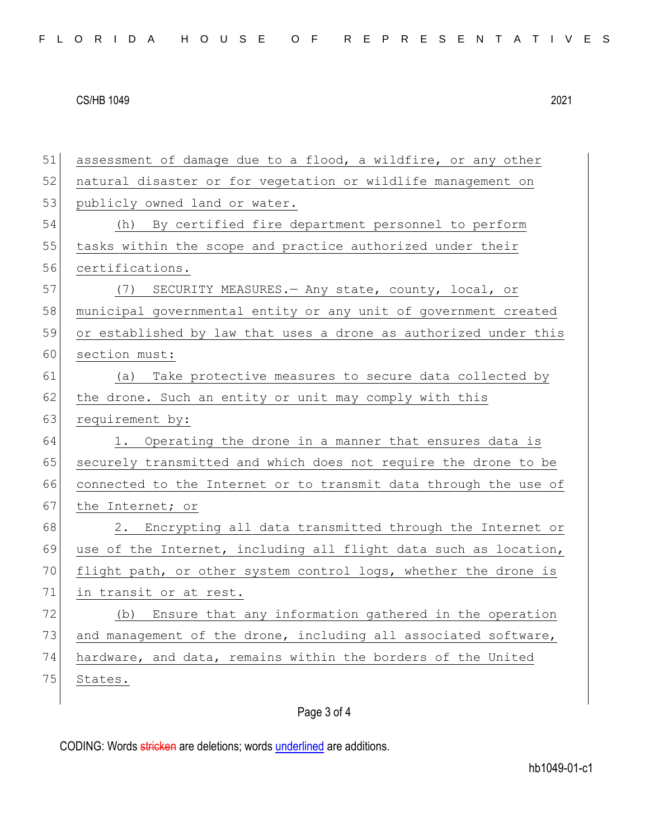51 assessment of damage due to a flood, a wildfire, or any other 52 natural disaster or for vegetation or wildlife management on 53 publicly owned land or water. 54 (h) By certified fire department personnel to perform 55 tasks within the scope and practice authorized under their 56 certifications. 57 (7) SECURITY MEASURES. - Any state, county, local, or 58 municipal governmental entity or any unit of government created 59 or established by law that uses a drone as authorized under this 60 section must: 61 (a) Take protective measures to secure data collected by 62 the drone. Such an entity or unit may comply with this 63 requirement by: 64 1. Operating the drone in a manner that ensures data is 65 securely transmitted and which does not require the drone to be 66 connected to the Internet or to transmit data through the use of 67 the Internet; or 68 2. Encrypting all data transmitted through the Internet or 69 use of the Internet, including all flight data such as location, 70 flight path, or other system control logs, whether the drone is 71 in transit or at rest. 72 (b) Ensure that any information gathered in the operation 73 and management of the drone, including all associated software, 74 hardware, and data, remains within the borders of the United 75 States.

## Page 3 of 4